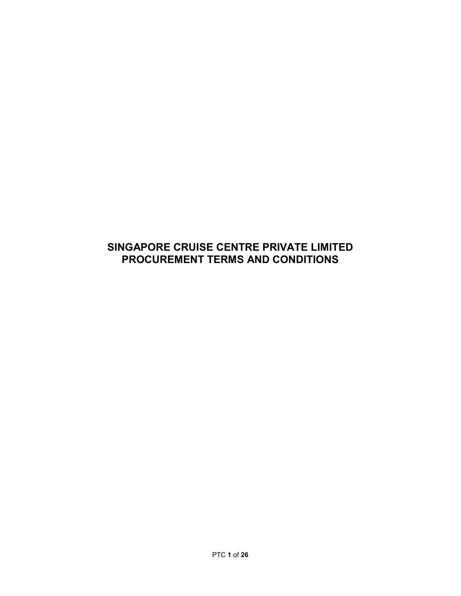# SINGAPORE CRUISE CENTRE PRIVATE LIMITED PROCUREMENT TERMS AND CONDITIONS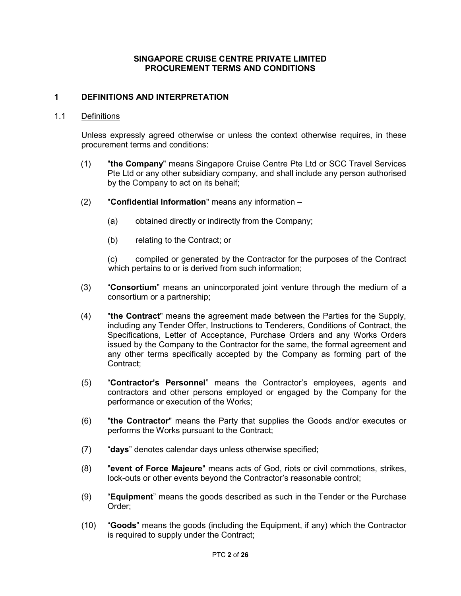# SINGAPORE CRUISE CENTRE PRIVATE LIMITED PROCUREMENT TERMS AND CONDITIONS

# 1 DEFINITIONS AND INTERPRETATION

#### 1.1 Definitions

 Unless expressly agreed otherwise or unless the context otherwise requires, in these procurement terms and conditions:

- (1) "the Company" means Singapore Cruise Centre Pte Ltd or SCC Travel Services Pte Ltd or any other subsidiary company, and shall include any person authorised by the Company to act on its behalf;
- (2) "Confidential Information" means any information
	- (a) obtained directly or indirectly from the Company;
	- (b) relating to the Contract; or

(c) compiled or generated by the Contractor for the purposes of the Contract which pertains to or is derived from such information;

- (3) "Consortium" means an unincorporated joint venture through the medium of a consortium or a partnership;
- (4) "the Contract" means the agreement made between the Parties for the Supply, including any Tender Offer, Instructions to Tenderers, Conditions of Contract, the Specifications, Letter of Acceptance, Purchase Orders and any Works Orders issued by the Company to the Contractor for the same, the formal agreement and any other terms specifically accepted by the Company as forming part of the Contract;
- (5) "Contractor's Personnel" means the Contractor's employees, agents and contractors and other persons employed or engaged by the Company for the performance or execution of the Works;
- (6) "the Contractor" means the Party that supplies the Goods and/or executes or performs the Works pursuant to the Contract;
- (7) "days" denotes calendar days unless otherwise specified;
- (8) "event of Force Majeure" means acts of God, riots or civil commotions, strikes, lock-outs or other events beyond the Contractor's reasonable control;
- $(9)$  "Equipment" means the goods described as such in the Tender or the Purchase Order;
- (10) "Goods" means the goods (including the Equipment, if any) which the Contractor is required to supply under the Contract;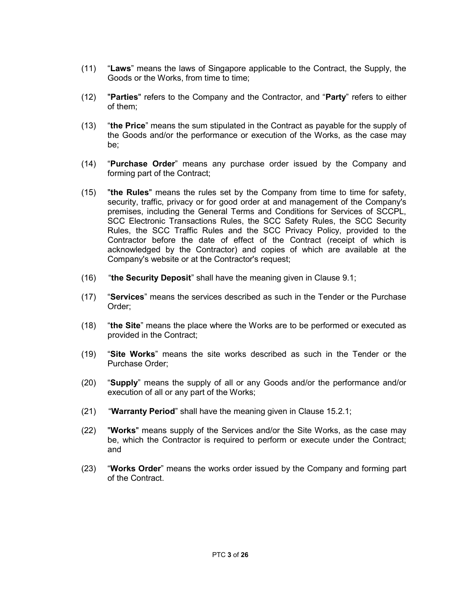- (11) "Laws" means the laws of Singapore applicable to the Contract, the Supply, the Goods or the Works, from time to time;
- (12) "Parties" refers to the Company and the Contractor, and "Party" refers to either of them;
- (13) "the Price" means the sum stipulated in the Contract as payable for the supply of the Goods and/or the performance or execution of the Works, as the case may be;
- (14) "Purchase Order" means any purchase order issued by the Company and forming part of the Contract;
- $(15)$  "the Rules" means the rules set by the Company from time to time for safety, security, traffic, privacy or for good order at and management of the Company's premises, including the General Terms and Conditions for Services of SCCPL, SCC Electronic Transactions Rules, the SCC Safety Rules, the SCC Security Rules, the SCC Traffic Rules and the SCC Privacy Policy, provided to the Contractor before the date of effect of the Contract (receipt of which is acknowledged by the Contractor) and copies of which are available at the Company's website or at the Contractor's request;
- $(16)$  "the Security Deposit" shall have the meaning given in Clause 9.1;
- (17) "Services" means the services described as such in the Tender or the Purchase Order;
- (18) "the Site" means the place where the Works are to be performed or executed as provided in the Contract;
- (19) "Site Works" means the site works described as such in the Tender or the Purchase Order;
- (20) "Supply" means the supply of all or any Goods and/or the performance and/or execution of all or any part of the Works;
- (21) "Warranty Period" shall have the meaning given in Clause 15.2.1;
- (22) "Works" means supply of the Services and/or the Site Works, as the case may be, which the Contractor is required to perform or execute under the Contract; and
- (23) "Works Order" means the works order issued by the Company and forming part of the Contract.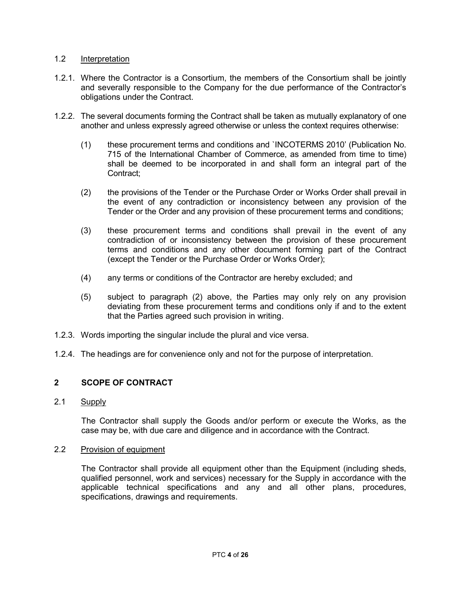# 1.2 Interpretation

- 1.2.1. Where the Contractor is a Consortium, the members of the Consortium shall be jointly and severally responsible to the Company for the due performance of the Contractor's obligations under the Contract.
- 1.2.2. The several documents forming the Contract shall be taken as mutually explanatory of one another and unless expressly agreed otherwise or unless the context requires otherwise:
	- (1) these procurement terms and conditions and `INCOTERMS 2010' (Publication No. 715 of the International Chamber of Commerce, as amended from time to time) shall be deemed to be incorporated in and shall form an integral part of the Contract;
	- (2) the provisions of the Tender or the Purchase Order or Works Order shall prevail in the event of any contradiction or inconsistency between any provision of the Tender or the Order and any provision of these procurement terms and conditions;
	- (3) these procurement terms and conditions shall prevail in the event of any contradiction of or inconsistency between the provision of these procurement terms and conditions and any other document forming part of the Contract (except the Tender or the Purchase Order or Works Order);
	- (4) any terms or conditions of the Contractor are hereby excluded; and
	- (5) subject to paragraph (2) above, the Parties may only rely on any provision deviating from these procurement terms and conditions only if and to the extent that the Parties agreed such provision in writing.
- 1.2.3. Words importing the singular include the plural and vice versa.
- 1.2.4. The headings are for convenience only and not for the purpose of interpretation.

# 2 SCOPE OF CONTRACT

2.1 Supply

 The Contractor shall supply the Goods and/or perform or execute the Works, as the case may be, with due care and diligence and in accordance with the Contract.

2.2 Provision of equipment

 The Contractor shall provide all equipment other than the Equipment (including sheds, qualified personnel, work and services) necessary for the Supply in accordance with the applicable technical specifications and any and all other plans, procedures, specifications, drawings and requirements.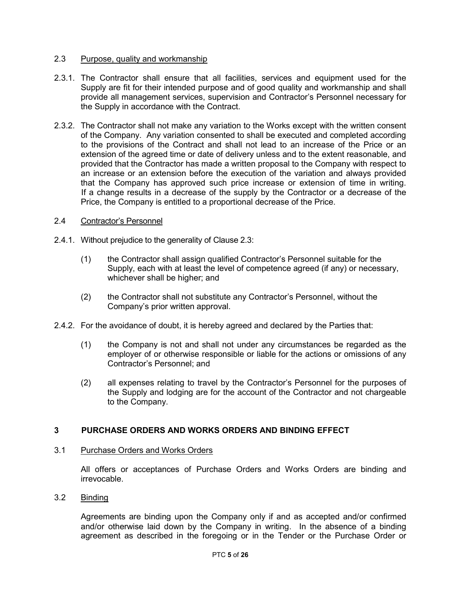# 2.3 Purpose, quality and workmanship

- 2.3.1. The Contractor shall ensure that all facilities, services and equipment used for the Supply are fit for their intended purpose and of good quality and workmanship and shall provide all management services, supervision and Contractor's Personnel necessary for the Supply in accordance with the Contract.
- 2.3.2. The Contractor shall not make any variation to the Works except with the written consent of the Company. Any variation consented to shall be executed and completed according to the provisions of the Contract and shall not lead to an increase of the Price or an extension of the agreed time or date of delivery unless and to the extent reasonable, and provided that the Contractor has made a written proposal to the Company with respect to an increase or an extension before the execution of the variation and always provided that the Company has approved such price increase or extension of time in writing. If a change results in a decrease of the supply by the Contractor or a decrease of the Price, the Company is entitled to a proportional decrease of the Price.

### 2.4 Contractor's Personnel

- 2.4.1. Without prejudice to the generality of Clause 2.3:
	- (1) the Contractor shall assign qualified Contractor's Personnel suitable for the Supply, each with at least the level of competence agreed (if any) or necessary, whichever shall be higher; and
	- (2) the Contractor shall not substitute any Contractor's Personnel, without the Company's prior written approval.
- 2.4.2. For the avoidance of doubt, it is hereby agreed and declared by the Parties that:
	- (1) the Company is not and shall not under any circumstances be regarded as the employer of or otherwise responsible or liable for the actions or omissions of any Contractor's Personnel; and
	- (2) all expenses relating to travel by the Contractor's Personnel for the purposes of the Supply and lodging are for the account of the Contractor and not chargeable to the Company.

# 3 PURCHASE ORDERS AND WORKS ORDERS AND BINDING EFFECT

#### 3.1 Purchase Orders and Works Orders

All offers or acceptances of Purchase Orders and Works Orders are binding and irrevocable.

# 3.2 Binding

Agreements are binding upon the Company only if and as accepted and/or confirmed and/or otherwise laid down by the Company in writing. In the absence of a binding agreement as described in the foregoing or in the Tender or the Purchase Order or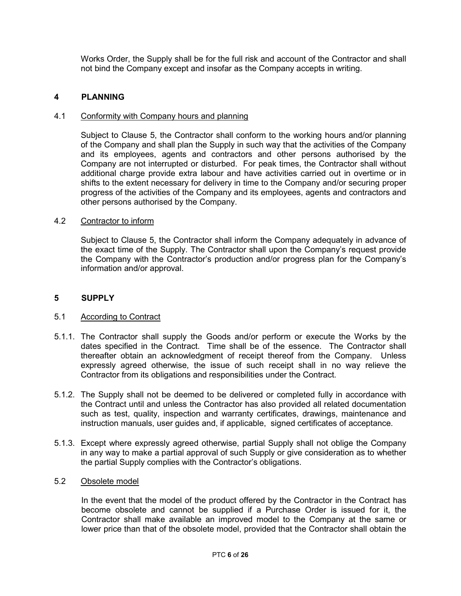Works Order, the Supply shall be for the full risk and account of the Contractor and shall not bind the Company except and insofar as the Company accepts in writing.

# 4 PLANNING

### 4.1 Conformity with Company hours and planning

Subject to Clause 5, the Contractor shall conform to the working hours and/or planning of the Company and shall plan the Supply in such way that the activities of the Company and its employees, agents and contractors and other persons authorised by the Company are not interrupted or disturbed. For peak times, the Contractor shall without additional charge provide extra labour and have activities carried out in overtime or in shifts to the extent necessary for delivery in time to the Company and/or securing proper progress of the activities of the Company and its employees, agents and contractors and other persons authorised by the Company.

### 4.2 Contractor to inform

Subject to Clause 5, the Contractor shall inform the Company adequately in advance of the exact time of the Supply. The Contractor shall upon the Company's request provide the Company with the Contractor's production and/or progress plan for the Company's information and/or approval.

### 5 SUPPLY

#### 5.1 According to Contract

- 5.1.1. The Contractor shall supply the Goods and/or perform or execute the Works by the dates specified in the Contract. Time shall be of the essence. The Contractor shall thereafter obtain an acknowledgment of receipt thereof from the Company. Unless expressly agreed otherwise, the issue of such receipt shall in no way relieve the Contractor from its obligations and responsibilities under the Contract.
- 5.1.2. The Supply shall not be deemed to be delivered or completed fully in accordance with the Contract until and unless the Contractor has also provided all related documentation such as test, quality, inspection and warranty certificates, drawings, maintenance and instruction manuals, user guides and, if applicable, signed certificates of acceptance.
- 5.1.3. Except where expressly agreed otherwise, partial Supply shall not oblige the Company in any way to make a partial approval of such Supply or give consideration as to whether the partial Supply complies with the Contractor's obligations.

#### 5.2 Obsolete model

 In the event that the model of the product offered by the Contractor in the Contract has become obsolete and cannot be supplied if a Purchase Order is issued for it, the Contractor shall make available an improved model to the Company at the same or lower price than that of the obsolete model, provided that the Contractor shall obtain the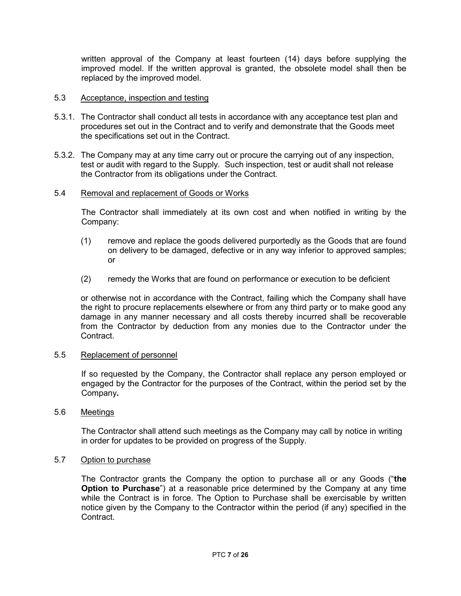written approval of the Company at least fourteen (14) days before supplying the improved model. If the written approval is granted, the obsolete model shall then be replaced by the improved model.

### 5.3 Acceptance, inspection and testing

- 5.3.1. The Contractor shall conduct all tests in accordance with any acceptance test plan and procedures set out in the Contract and to verify and demonstrate that the Goods meet the specifications set out in the Contract.
- 5.3.2. The Company may at any time carry out or procure the carrying out of any inspection, test or audit with regard to the Supply. Such inspection, test or audit shall not release the Contractor from its obligations under the Contract.

### 5.4 Removal and replacement of Goods or Works

The Contractor shall immediately at its own cost and when notified in writing by the Company:

- (1) remove and replace the goods delivered purportedly as the Goods that are found on delivery to be damaged, defective or in any way inferior to approved samples; or
- (2) remedy the Works that are found on performance or execution to be deficient

 or otherwise not in accordance with the Contract, failing which the Company shall have the right to procure replacements elsewhere or from any third party or to make good any damage in any manner necessary and all costs thereby incurred shall be recoverable from the Contractor by deduction from any monies due to the Contractor under the Contract.

#### 5.5 Replacement of personnel

If so requested by the Company, the Contractor shall replace any person employed or engaged by the Contractor for the purposes of the Contract, within the period set by the Company.

### 5.6 Meetings

The Contractor shall attend such meetings as the Company may call by notice in writing in order for updates to be provided on progress of the Supply.

### 5.7 Option to purchase

 The Contractor grants the Company the option to purchase all or any Goods ("the Option to Purchase") at a reasonable price determined by the Company at any time while the Contract is in force. The Option to Purchase shall be exercisable by written notice given by the Company to the Contractor within the period (if any) specified in the Contract.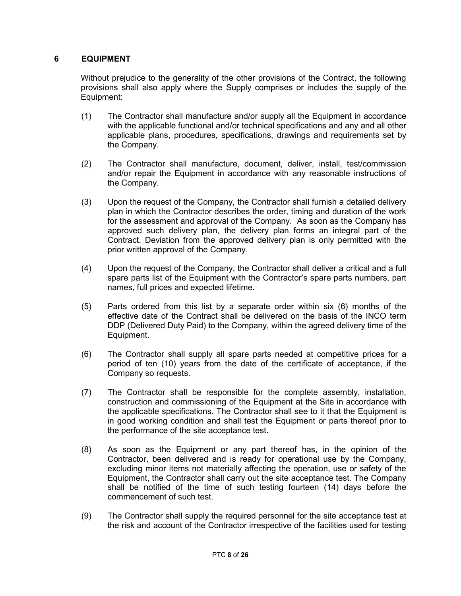# 6 EQUIPMENT

Without prejudice to the generality of the other provisions of the Contract, the following provisions shall also apply where the Supply comprises or includes the supply of the Equipment:

- (1) The Contractor shall manufacture and/or supply all the Equipment in accordance with the applicable functional and/or technical specifications and any and all other applicable plans, procedures, specifications, drawings and requirements set by the Company.
- (2) The Contractor shall manufacture, document, deliver, install, test/commission and/or repair the Equipment in accordance with any reasonable instructions of the Company.
- (3) Upon the request of the Company, the Contractor shall furnish a detailed delivery plan in which the Contractor describes the order, timing and duration of the work for the assessment and approval of the Company. As soon as the Company has approved such delivery plan, the delivery plan forms an integral part of the Contract. Deviation from the approved delivery plan is only permitted with the prior written approval of the Company.
- (4) Upon the request of the Company, the Contractor shall deliver a critical and a full spare parts list of the Equipment with the Contractor's spare parts numbers, part names, full prices and expected lifetime.
- (5) Parts ordered from this list by a separate order within six (6) months of the effective date of the Contract shall be delivered on the basis of the INCO term DDP (Delivered Duty Paid) to the Company, within the agreed delivery time of the Equipment.
- (6) The Contractor shall supply all spare parts needed at competitive prices for a period of ten (10) years from the date of the certificate of acceptance, if the Company so requests.
- (7) The Contractor shall be responsible for the complete assembly, installation, construction and commissioning of the Equipment at the Site in accordance with the applicable specifications. The Contractor shall see to it that the Equipment is in good working condition and shall test the Equipment or parts thereof prior to the performance of the site acceptance test.
- (8) As soon as the Equipment or any part thereof has, in the opinion of the Contractor, been delivered and is ready for operational use by the Company, excluding minor items not materially affecting the operation, use or safety of the Equipment, the Contractor shall carry out the site acceptance test. The Company shall be notified of the time of such testing fourteen (14) days before the commencement of such test.
- (9) The Contractor shall supply the required personnel for the site acceptance test at the risk and account of the Contractor irrespective of the facilities used for testing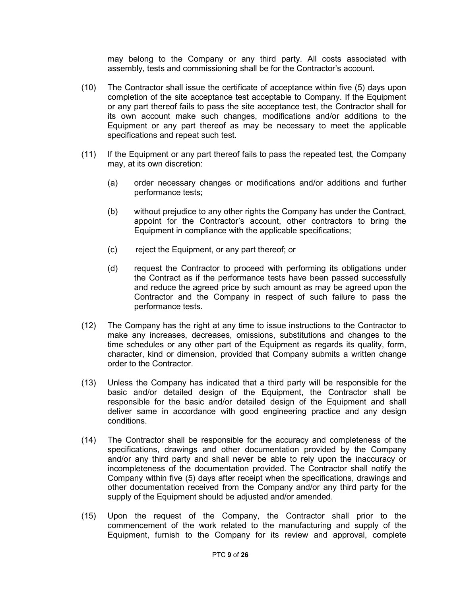may belong to the Company or any third party. All costs associated with assembly, tests and commissioning shall be for the Contractor's account.

- (10) The Contractor shall issue the certificate of acceptance within five (5) days upon completion of the site acceptance test acceptable to Company. If the Equipment or any part thereof fails to pass the site acceptance test, the Contractor shall for its own account make such changes, modifications and/or additions to the Equipment or any part thereof as may be necessary to meet the applicable specifications and repeat such test.
- (11) If the Equipment or any part thereof fails to pass the repeated test, the Company may, at its own discretion:
	- (a) order necessary changes or modifications and/or additions and further performance tests;
	- (b) without prejudice to any other rights the Company has under the Contract, appoint for the Contractor's account, other contractors to bring the Equipment in compliance with the applicable specifications;
	- (c) reject the Equipment, or any part thereof; or
	- (d) request the Contractor to proceed with performing its obligations under the Contract as if the performance tests have been passed successfully and reduce the agreed price by such amount as may be agreed upon the Contractor and the Company in respect of such failure to pass the performance tests.
- (12) The Company has the right at any time to issue instructions to the Contractor to make any increases, decreases, omissions, substitutions and changes to the time schedules or any other part of the Equipment as regards its quality, form, character, kind or dimension, provided that Company submits a written change order to the Contractor.
- (13) Unless the Company has indicated that a third party will be responsible for the basic and/or detailed design of the Equipment, the Contractor shall be responsible for the basic and/or detailed design of the Equipment and shall deliver same in accordance with good engineering practice and any design conditions.
- (14) The Contractor shall be responsible for the accuracy and completeness of the specifications, drawings and other documentation provided by the Company and/or any third party and shall never be able to rely upon the inaccuracy or incompleteness of the documentation provided. The Contractor shall notify the Company within five (5) days after receipt when the specifications, drawings and other documentation received from the Company and/or any third party for the supply of the Equipment should be adjusted and/or amended.
- (15) Upon the request of the Company, the Contractor shall prior to the commencement of the work related to the manufacturing and supply of the Equipment, furnish to the Company for its review and approval, complete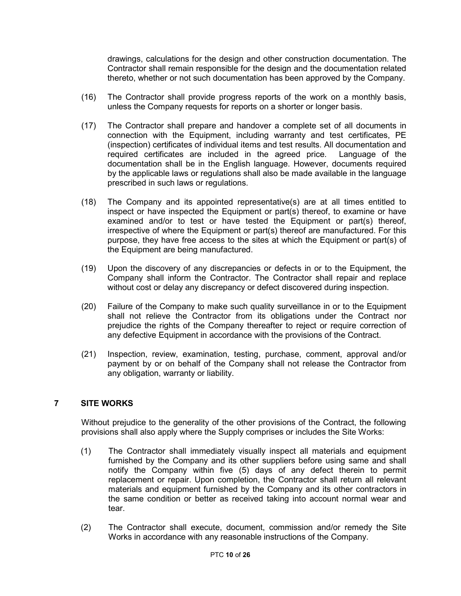drawings, calculations for the design and other construction documentation. The Contractor shall remain responsible for the design and the documentation related thereto, whether or not such documentation has been approved by the Company.

- (16) The Contractor shall provide progress reports of the work on a monthly basis, unless the Company requests for reports on a shorter or longer basis.
- (17) The Contractor shall prepare and handover a complete set of all documents in connection with the Equipment, including warranty and test certificates, PE (inspection) certificates of individual items and test results. All documentation and required certificates are included in the agreed price. Language of the documentation shall be in the English language. However, documents required by the applicable laws or regulations shall also be made available in the language prescribed in such laws or regulations.
- (18) The Company and its appointed representative(s) are at all times entitled to inspect or have inspected the Equipment or part(s) thereof, to examine or have examined and/or to test or have tested the Equipment or part(s) thereof, irrespective of where the Equipment or part(s) thereof are manufactured. For this purpose, they have free access to the sites at which the Equipment or part(s) of the Equipment are being manufactured.
- (19) Upon the discovery of any discrepancies or defects in or to the Equipment, the Company shall inform the Contractor. The Contractor shall repair and replace without cost or delay any discrepancy or defect discovered during inspection.
- (20) Failure of the Company to make such quality surveillance in or to the Equipment shall not relieve the Contractor from its obligations under the Contract nor prejudice the rights of the Company thereafter to reject or require correction of any defective Equipment in accordance with the provisions of the Contract.
- (21) Inspection, review, examination, testing, purchase, comment, approval and/or payment by or on behalf of the Company shall not release the Contractor from any obligation, warranty or liability.

# 7 SITE WORKS

Without prejudice to the generality of the other provisions of the Contract, the following provisions shall also apply where the Supply comprises or includes the Site Works:

- (1) The Contractor shall immediately visually inspect all materials and equipment furnished by the Company and its other suppliers before using same and shall notify the Company within five (5) days of any defect therein to permit replacement or repair. Upon completion, the Contractor shall return all relevant materials and equipment furnished by the Company and its other contractors in the same condition or better as received taking into account normal wear and tear.
- (2) The Contractor shall execute, document, commission and/or remedy the Site Works in accordance with any reasonable instructions of the Company.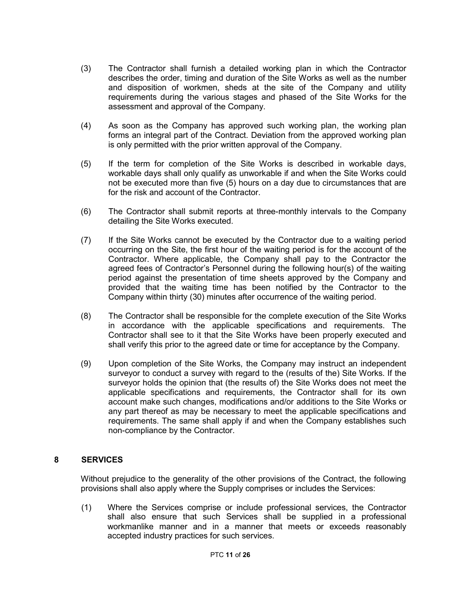- (3) The Contractor shall furnish a detailed working plan in which the Contractor describes the order, timing and duration of the Site Works as well as the number and disposition of workmen, sheds at the site of the Company and utility requirements during the various stages and phased of the Site Works for the assessment and approval of the Company.
- (4) As soon as the Company has approved such working plan, the working plan forms an integral part of the Contract. Deviation from the approved working plan is only permitted with the prior written approval of the Company.
- (5) If the term for completion of the Site Works is described in workable days, workable days shall only qualify as unworkable if and when the Site Works could not be executed more than five (5) hours on a day due to circumstances that are for the risk and account of the Contractor.
- (6) The Contractor shall submit reports at three-monthly intervals to the Company detailing the Site Works executed.
- (7) If the Site Works cannot be executed by the Contractor due to a waiting period occurring on the Site, the first hour of the waiting period is for the account of the Contractor. Where applicable, the Company shall pay to the Contractor the agreed fees of Contractor's Personnel during the following hour(s) of the waiting period against the presentation of time sheets approved by the Company and provided that the waiting time has been notified by the Contractor to the Company within thirty (30) minutes after occurrence of the waiting period.
- (8) The Contractor shall be responsible for the complete execution of the Site Works in accordance with the applicable specifications and requirements. The Contractor shall see to it that the Site Works have been properly executed and shall verify this prior to the agreed date or time for acceptance by the Company.
- (9) Upon completion of the Site Works, the Company may instruct an independent surveyor to conduct a survey with regard to the (results of the) Site Works. If the surveyor holds the opinion that (the results of) the Site Works does not meet the applicable specifications and requirements, the Contractor shall for its own account make such changes, modifications and/or additions to the Site Works or any part thereof as may be necessary to meet the applicable specifications and requirements. The same shall apply if and when the Company establishes such non-compliance by the Contractor.

# 8 SERVICES

Without prejudice to the generality of the other provisions of the Contract, the following provisions shall also apply where the Supply comprises or includes the Services:

(1) Where the Services comprise or include professional services, the Contractor shall also ensure that such Services shall be supplied in a professional workmanlike manner and in a manner that meets or exceeds reasonably accepted industry practices for such services.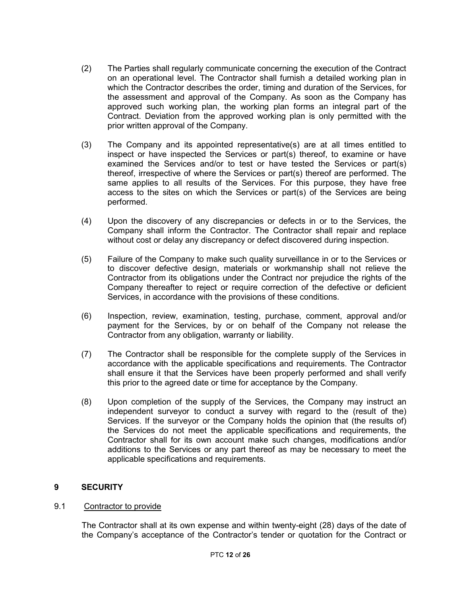- (2) The Parties shall regularly communicate concerning the execution of the Contract on an operational level. The Contractor shall furnish a detailed working plan in which the Contractor describes the order, timing and duration of the Services, for the assessment and approval of the Company. As soon as the Company has approved such working plan, the working plan forms an integral part of the Contract. Deviation from the approved working plan is only permitted with the prior written approval of the Company.
- (3) The Company and its appointed representative(s) are at all times entitled to inspect or have inspected the Services or part(s) thereof, to examine or have examined the Services and/or to test or have tested the Services or part(s) thereof, irrespective of where the Services or part(s) thereof are performed. The same applies to all results of the Services. For this purpose, they have free access to the sites on which the Services or part(s) of the Services are being performed.
- (4) Upon the discovery of any discrepancies or defects in or to the Services, the Company shall inform the Contractor. The Contractor shall repair and replace without cost or delay any discrepancy or defect discovered during inspection.
- (5) Failure of the Company to make such quality surveillance in or to the Services or to discover defective design, materials or workmanship shall not relieve the Contractor from its obligations under the Contract nor prejudice the rights of the Company thereafter to reject or require correction of the defective or deficient Services, in accordance with the provisions of these conditions.
- (6) Inspection, review, examination, testing, purchase, comment, approval and/or payment for the Services, by or on behalf of the Company not release the Contractor from any obligation, warranty or liability.
- (7) The Contractor shall be responsible for the complete supply of the Services in accordance with the applicable specifications and requirements. The Contractor shall ensure it that the Services have been properly performed and shall verify this prior to the agreed date or time for acceptance by the Company.
- (8) Upon completion of the supply of the Services, the Company may instruct an independent surveyor to conduct a survey with regard to the (result of the) Services. If the surveyor or the Company holds the opinion that (the results of) the Services do not meet the applicable specifications and requirements, the Contractor shall for its own account make such changes, modifications and/or additions to the Services or any part thereof as may be necessary to meet the applicable specifications and requirements.

# 9 SECURITY

# 9.1 Contractor to provide

 The Contractor shall at its own expense and within twenty-eight (28) days of the date of the Company's acceptance of the Contractor's tender or quotation for the Contract or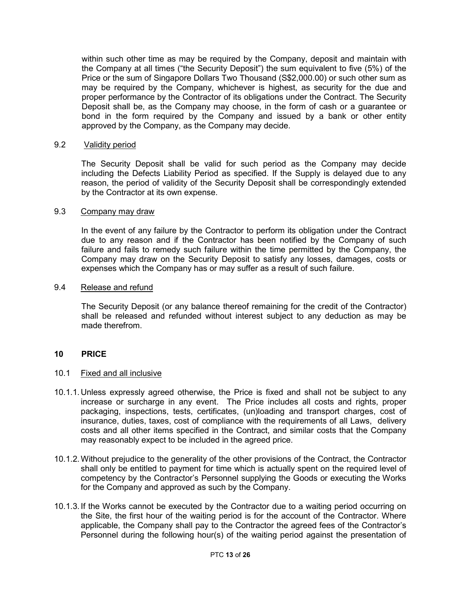within such other time as may be required by the Company, deposit and maintain with the Company at all times ("the Security Deposit") the sum equivalent to five (5%) of the Price or the sum of Singapore Dollars Two Thousand (S\$2,000.00) or such other sum as may be required by the Company, whichever is highest, as security for the due and proper performance by the Contractor of its obligations under the Contract. The Security Deposit shall be, as the Company may choose, in the form of cash or a guarantee or bond in the form required by the Company and issued by a bank or other entity approved by the Company, as the Company may decide.

### 9.2 Validity period

 The Security Deposit shall be valid for such period as the Company may decide including the Defects Liability Period as specified. If the Supply is delayed due to any reason, the period of validity of the Security Deposit shall be correspondingly extended by the Contractor at its own expense.

# 9.3 Company may draw

 In the event of any failure by the Contractor to perform its obligation under the Contract due to any reason and if the Contractor has been notified by the Company of such failure and fails to remedy such failure within the time permitted by the Company, the Company may draw on the Security Deposit to satisfy any losses, damages, costs or expenses which the Company has or may suffer as a result of such failure.

### 9.4 Release and refund

 The Security Deposit (or any balance thereof remaining for the credit of the Contractor) shall be released and refunded without interest subject to any deduction as may be made therefrom.

# 10 PRICE

#### 10.1 Fixed and all inclusive

- 10.1.1. Unless expressly agreed otherwise, the Price is fixed and shall not be subject to any increase or surcharge in any event. The Price includes all costs and rights, proper packaging, inspections, tests, certificates, (un)loading and transport charges, cost of insurance, duties, taxes, cost of compliance with the requirements of all Laws, delivery costs and all other items specified in the Contract, and similar costs that the Company may reasonably expect to be included in the agreed price.
- 10.1.2. Without prejudice to the generality of the other provisions of the Contract, the Contractor shall only be entitled to payment for time which is actually spent on the required level of competency by the Contractor's Personnel supplying the Goods or executing the Works for the Company and approved as such by the Company.
- 10.1.3. If the Works cannot be executed by the Contractor due to a waiting period occurring on the Site, the first hour of the waiting period is for the account of the Contractor. Where applicable, the Company shall pay to the Contractor the agreed fees of the Contractor's Personnel during the following hour(s) of the waiting period against the presentation of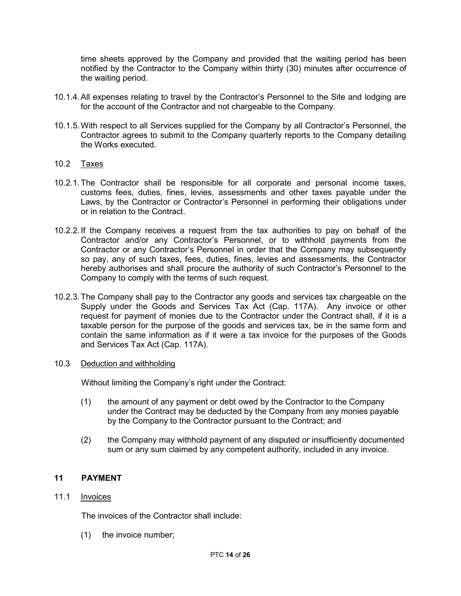time sheets approved by the Company and provided that the waiting period has been notified by the Contractor to the Company within thirty (30) minutes after occurrence of the waiting period.

- 10.1.4. All expenses relating to travel by the Contractor's Personnel to the Site and lodging are for the account of the Contractor and not chargeable to the Company.
- 10.1.5. With respect to all Services supplied for the Company by all Contractor's Personnel, the Contractor agrees to submit to the Company quarterly reports to the Company detailing the Works executed.

# 10.2 Taxes

- 10.2.1. The Contractor shall be responsible for all corporate and personal income taxes, customs fees, duties, fines, levies, assessments and other taxes payable under the Laws, by the Contractor or Contractor's Personnel in performing their obligations under or in relation to the Contract.
- 10.2.2. If the Company receives a request from the tax authorities to pay on behalf of the Contractor and/or any Contractor's Personnel, or to withhold payments from the Contractor or any Contractor's Personnel in order that the Company may subsequently so pay, any of such taxes, fees, duties, fines, levies and assessments, the Contractor hereby authorises and shall procure the authority of such Contractor's Personnel to the Company to comply with the terms of such request.
- 10.2.3. The Company shall pay to the Contractor any goods and services tax chargeable on the Supply under the Goods and Services Tax Act (Cap. 117A). Any invoice or other request for payment of monies due to the Contractor under the Contract shall, if it is a taxable person for the purpose of the goods and services tax, be in the same form and contain the same information as if it were a tax invoice for the purposes of the Goods and Services Tax Act (Cap. 117A).
- 10.3 Deduction and withholding

Without limiting the Company's right under the Contract:

- (1) the amount of any payment or debt owed by the Contractor to the Company under the Contract may be deducted by the Company from any monies payable by the Company to the Contractor pursuant to the Contract; and
- (2) the Company may withhold payment of any disputed or insufficiently documented sum or any sum claimed by any competent authority, included in any invoice.

# 11 PAYMENT

# 11.1 Invoices

The invoices of the Contractor shall include:

(1) the invoice number;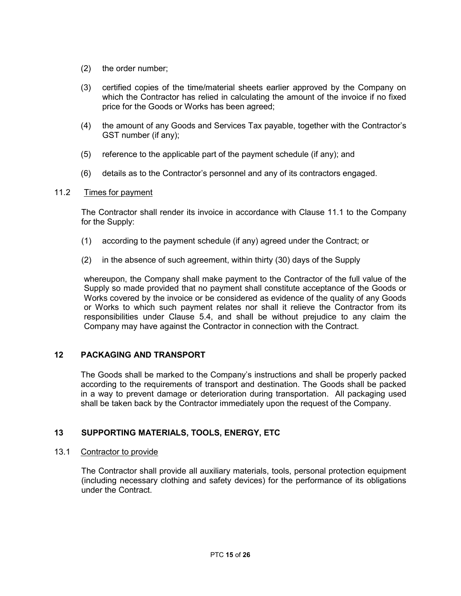- (2) the order number;
- (3) certified copies of the time/material sheets earlier approved by the Company on which the Contractor has relied in calculating the amount of the invoice if no fixed price for the Goods or Works has been agreed;
- (4) the amount of any Goods and Services Tax payable, together with the Contractor's GST number (if any);
- (5) reference to the applicable part of the payment schedule (if any); and
- (6) details as to the Contractor's personnel and any of its contractors engaged.

### 11.2 Times for payment

The Contractor shall render its invoice in accordance with Clause 11.1 to the Company for the Supply:

- (1) according to the payment schedule (if any) agreed under the Contract; or
- (2) in the absence of such agreement, within thirty (30) days of the Supply

whereupon, the Company shall make payment to the Contractor of the full value of the Supply so made provided that no payment shall constitute acceptance of the Goods or Works covered by the invoice or be considered as evidence of the quality of any Goods or Works to which such payment relates nor shall it relieve the Contractor from its responsibilities under Clause 5.4, and shall be without prejudice to any claim the Company may have against the Contractor in connection with the Contract.

# 12 PACKAGING AND TRANSPORT

The Goods shall be marked to the Company's instructions and shall be properly packed according to the requirements of transport and destination. The Goods shall be packed in a way to prevent damage or deterioration during transportation. All packaging used shall be taken back by the Contractor immediately upon the request of the Company.

# 13 SUPPORTING MATERIALS, TOOLS, ENERGY, ETC

#### 13.1 Contractor to provide

 The Contractor shall provide all auxiliary materials, tools, personal protection equipment (including necessary clothing and safety devices) for the performance of its obligations under the Contract.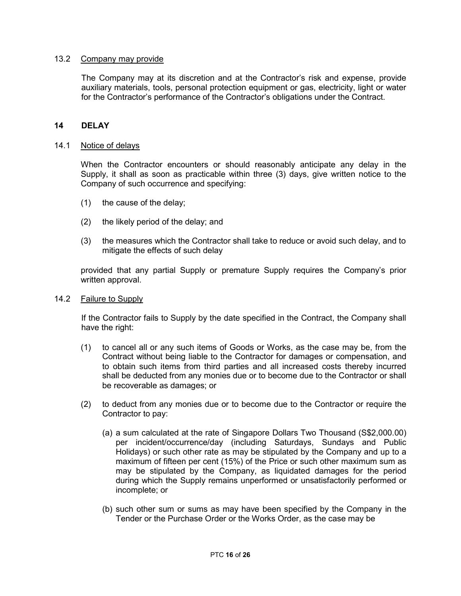#### 13.2 Company may provide

 The Company may at its discretion and at the Contractor's risk and expense, provide auxiliary materials, tools, personal protection equipment or gas, electricity, light or water for the Contractor's performance of the Contractor's obligations under the Contract.

# 14 DELAY

#### 14.1 Notice of delays

When the Contractor encounters or should reasonably anticipate any delay in the Supply, it shall as soon as practicable within three (3) days, give written notice to the Company of such occurrence and specifying:

- (1) the cause of the delay;
- (2) the likely period of the delay; and
- (3) the measures which the Contractor shall take to reduce or avoid such delay, and to mitigate the effects of such delay

provided that any partial Supply or premature Supply requires the Company's prior written approval.

### 14.2 Failure to Supply

 If the Contractor fails to Supply by the date specified in the Contract, the Company shall have the right:

- (1) to cancel all or any such items of Goods or Works, as the case may be, from the Contract without being liable to the Contractor for damages or compensation, and to obtain such items from third parties and all increased costs thereby incurred shall be deducted from any monies due or to become due to the Contractor or shall be recoverable as damages; or
- (2) to deduct from any monies due or to become due to the Contractor or require the Contractor to pay:
	- (a) a sum calculated at the rate of Singapore Dollars Two Thousand (S\$2,000.00) per incident/occurrence/day (including Saturdays, Sundays and Public Holidays) or such other rate as may be stipulated by the Company and up to a maximum of fifteen per cent (15%) of the Price or such other maximum sum as may be stipulated by the Company, as liquidated damages for the period during which the Supply remains unperformed or unsatisfactorily performed or incomplete; or
	- (b) such other sum or sums as may have been specified by the Company in the Tender or the Purchase Order or the Works Order, as the case may be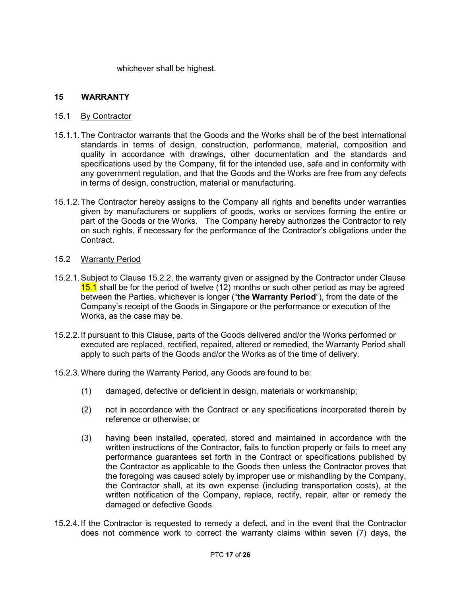whichever shall be highest.

# 15 WARRANTY

# 15.1 By Contractor

- 15.1.1. The Contractor warrants that the Goods and the Works shall be of the best international standards in terms of design, construction, performance, material, composition and quality in accordance with drawings, other documentation and the standards and specifications used by the Company, fit for the intended use, safe and in conformity with any government regulation, and that the Goods and the Works are free from any defects in terms of design, construction, material or manufacturing.
- 15.1.2. The Contractor hereby assigns to the Company all rights and benefits under warranties given by manufacturers or suppliers of goods, works or services forming the entire or part of the Goods or the Works. The Company hereby authorizes the Contractor to rely on such rights, if necessary for the performance of the Contractor's obligations under the Contract.

### 15.2 Warranty Period

- 15.2.1. Subject to Clause 15.2.2, the warranty given or assigned by the Contractor under Clause 15.1 shall be for the period of twelve (12) months or such other period as may be agreed between the Parties, whichever is longer ("the Warranty Period"), from the date of the Company's receipt of the Goods in Singapore or the performance or execution of the Works, as the case may be.
- 15.2.2. If pursuant to this Clause, parts of the Goods delivered and/or the Works performed or executed are replaced, rectified, repaired, altered or remedied, the Warranty Period shall apply to such parts of the Goods and/or the Works as of the time of delivery.
- 15.2.3. Where during the Warranty Period, any Goods are found to be:
	- (1) damaged, defective or deficient in design, materials or workmanship;
	- (2) not in accordance with the Contract or any specifications incorporated therein by reference or otherwise; or
	- (3) having been installed, operated, stored and maintained in accordance with the written instructions of the Contractor, fails to function properly or fails to meet any performance guarantees set forth in the Contract or specifications published by the Contractor as applicable to the Goods then unless the Contractor proves that the foregoing was caused solely by improper use or mishandling by the Company, the Contractor shall, at its own expense (including transportation costs), at the written notification of the Company, replace, rectify, repair, alter or remedy the damaged or defective Goods.
- 15.2.4. If the Contractor is requested to remedy a defect, and in the event that the Contractor does not commence work to correct the warranty claims within seven (7) days, the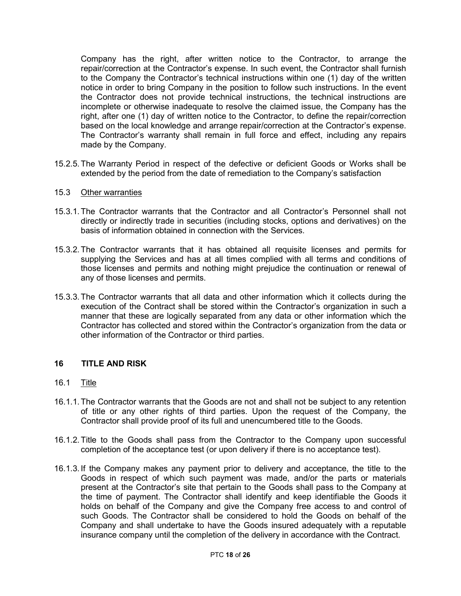Company has the right, after written notice to the Contractor, to arrange the repair/correction at the Contractor's expense. In such event, the Contractor shall furnish to the Company the Contractor's technical instructions within one (1) day of the written notice in order to bring Company in the position to follow such instructions. In the event the Contractor does not provide technical instructions, the technical instructions are incomplete or otherwise inadequate to resolve the claimed issue, the Company has the right, after one (1) day of written notice to the Contractor, to define the repair/correction based on the local knowledge and arrange repair/correction at the Contractor's expense. The Contractor's warranty shall remain in full force and effect, including any repairs made by the Company.

- 15.2.5. The Warranty Period in respect of the defective or deficient Goods or Works shall be extended by the period from the date of remediation to the Company's satisfaction
- 15.3 Other warranties
- 15.3.1. The Contractor warrants that the Contractor and all Contractor's Personnel shall not directly or indirectly trade in securities (including stocks, options and derivatives) on the basis of information obtained in connection with the Services.
- 15.3.2. The Contractor warrants that it has obtained all requisite licenses and permits for supplying the Services and has at all times complied with all terms and conditions of those licenses and permits and nothing might prejudice the continuation or renewal of any of those licenses and permits.
- 15.3.3. The Contractor warrants that all data and other information which it collects during the execution of the Contract shall be stored within the Contractor's organization in such a manner that these are logically separated from any data or other information which the Contractor has collected and stored within the Contractor's organization from the data or other information of the Contractor or third parties.

#### 16 TITLE AND RISK

# 16.1 Title

- 16.1.1. The Contractor warrants that the Goods are not and shall not be subject to any retention of title or any other rights of third parties. Upon the request of the Company, the Contractor shall provide proof of its full and unencumbered title to the Goods.
- 16.1.2. Title to the Goods shall pass from the Contractor to the Company upon successful completion of the acceptance test (or upon delivery if there is no acceptance test).
- 16.1.3. If the Company makes any payment prior to delivery and acceptance, the title to the Goods in respect of which such payment was made, and/or the parts or materials present at the Contractor's site that pertain to the Goods shall pass to the Company at the time of payment. The Contractor shall identify and keep identifiable the Goods it holds on behalf of the Company and give the Company free access to and control of such Goods. The Contractor shall be considered to hold the Goods on behalf of the Company and shall undertake to have the Goods insured adequately with a reputable insurance company until the completion of the delivery in accordance with the Contract.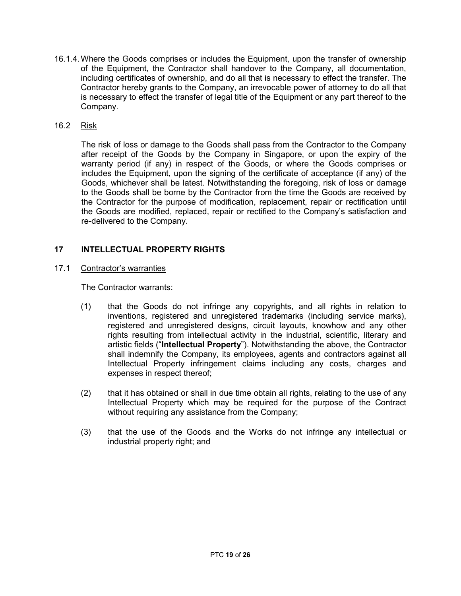- 16.1.4. Where the Goods comprises or includes the Equipment, upon the transfer of ownership of the Equipment, the Contractor shall handover to the Company, all documentation, including certificates of ownership, and do all that is necessary to effect the transfer. The Contractor hereby grants to the Company, an irrevocable power of attorney to do all that is necessary to effect the transfer of legal title of the Equipment or any part thereof to the Company.
- 16.2 Risk

The risk of loss or damage to the Goods shall pass from the Contractor to the Company after receipt of the Goods by the Company in Singapore, or upon the expiry of the warranty period (if any) in respect of the Goods, or where the Goods comprises or includes the Equipment, upon the signing of the certificate of acceptance (if any) of the Goods, whichever shall be latest. Notwithstanding the foregoing, risk of loss or damage to the Goods shall be borne by the Contractor from the time the Goods are received by the Contractor for the purpose of modification, replacement, repair or rectification until the Goods are modified, replaced, repair or rectified to the Company's satisfaction and re-delivered to the Company.

# 17 INTELLECTUAL PROPERTY RIGHTS

17.1 Contractor's warranties

The Contractor warrants:

- (1) that the Goods do not infringe any copyrights, and all rights in relation to inventions, registered and unregistered trademarks (including service marks), registered and unregistered designs, circuit layouts, knowhow and any other rights resulting from intellectual activity in the industrial, scientific, literary and artistic fields ("Intellectual Property"). Notwithstanding the above, the Contractor shall indemnify the Company, its employees, agents and contractors against all Intellectual Property infringement claims including any costs, charges and expenses in respect thereof;
- (2) that it has obtained or shall in due time obtain all rights, relating to the use of any Intellectual Property which may be required for the purpose of the Contract without requiring any assistance from the Company;
- (3) that the use of the Goods and the Works do not infringe any intellectual or industrial property right; and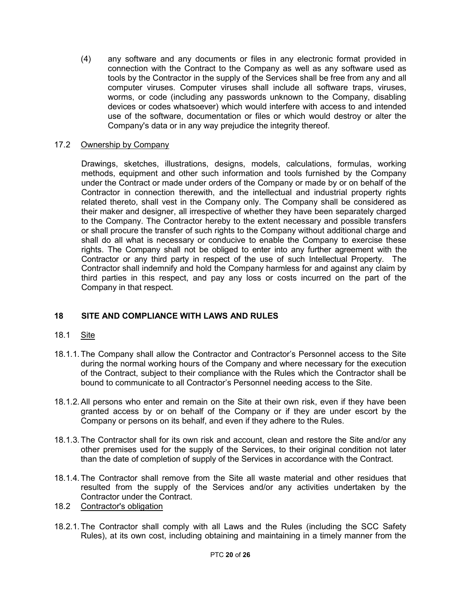(4) any software and any documents or files in any electronic format provided in connection with the Contract to the Company as well as any software used as tools by the Contractor in the supply of the Services shall be free from any and all computer viruses. Computer viruses shall include all software traps, viruses, worms, or code (including any passwords unknown to the Company, disabling devices or codes whatsoever) which would interfere with access to and intended use of the software, documentation or files or which would destroy or alter the Company's data or in any way prejudice the integrity thereof.

# 17.2 Ownership by Company

Drawings, sketches, illustrations, designs, models, calculations, formulas, working methods, equipment and other such information and tools furnished by the Company under the Contract or made under orders of the Company or made by or on behalf of the Contractor in connection therewith, and the intellectual and industrial property rights related thereto, shall vest in the Company only. The Company shall be considered as their maker and designer, all irrespective of whether they have been separately charged to the Company. The Contractor hereby to the extent necessary and possible transfers or shall procure the transfer of such rights to the Company without additional charge and shall do all what is necessary or conducive to enable the Company to exercise these rights. The Company shall not be obliged to enter into any further agreement with the Contractor or any third party in respect of the use of such Intellectual Property. The Contractor shall indemnify and hold the Company harmless for and against any claim by third parties in this respect, and pay any loss or costs incurred on the part of the Company in that respect.

# 18 SITE AND COMPLIANCE WITH LAWS AND RULES

# 18.1 Site

- 18.1.1. The Company shall allow the Contractor and Contractor's Personnel access to the Site during the normal working hours of the Company and where necessary for the execution of the Contract, subject to their compliance with the Rules which the Contractor shall be bound to communicate to all Contractor's Personnel needing access to the Site.
- 18.1.2. All persons who enter and remain on the Site at their own risk, even if they have been granted access by or on behalf of the Company or if they are under escort by the Company or persons on its behalf, and even if they adhere to the Rules.
- 18.1.3. The Contractor shall for its own risk and account, clean and restore the Site and/or any other premises used for the supply of the Services, to their original condition not later than the date of completion of supply of the Services in accordance with the Contract.
- 18.1.4. The Contractor shall remove from the Site all waste material and other residues that resulted from the supply of the Services and/or any activities undertaken by the Contractor under the Contract.
- 18.2 Contractor's obligation
- 18.2.1. The Contractor shall comply with all Laws and the Rules (including the SCC Safety Rules), at its own cost, including obtaining and maintaining in a timely manner from the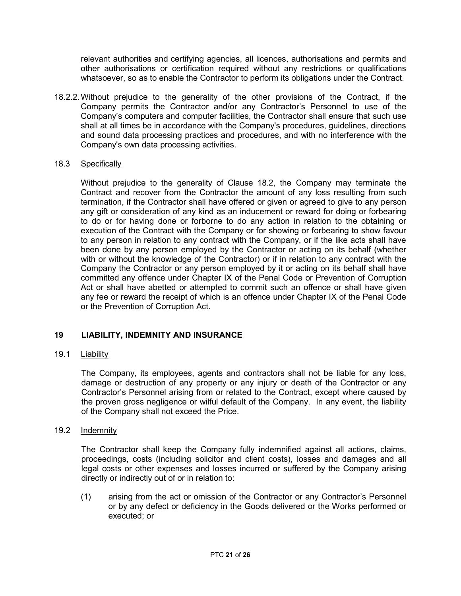relevant authorities and certifying agencies, all licences, authorisations and permits and other authorisations or certification required without any restrictions or qualifications whatsoever, so as to enable the Contractor to perform its obligations under the Contract.

18.2.2. Without prejudice to the generality of the other provisions of the Contract, if the Company permits the Contractor and/or any Contractor's Personnel to use of the Company's computers and computer facilities, the Contractor shall ensure that such use shall at all times be in accordance with the Company's procedures, guidelines, directions and sound data processing practices and procedures, and with no interference with the Company's own data processing activities.

# 18.3 Specifically

 Without prejudice to the generality of Clause 18.2, the Company may terminate the Contract and recover from the Contractor the amount of any loss resulting from such termination, if the Contractor shall have offered or given or agreed to give to any person any gift or consideration of any kind as an inducement or reward for doing or forbearing to do or for having done or forborne to do any action in relation to the obtaining or execution of the Contract with the Company or for showing or forbearing to show favour to any person in relation to any contract with the Company, or if the like acts shall have been done by any person employed by the Contractor or acting on its behalf (whether with or without the knowledge of the Contractor) or if in relation to any contract with the Company the Contractor or any person employed by it or acting on its behalf shall have committed any offence under Chapter IX of the Penal Code or Prevention of Corruption Act or shall have abetted or attempted to commit such an offence or shall have given any fee or reward the receipt of which is an offence under Chapter IX of the Penal Code or the Prevention of Corruption Act.

# 19 LIABILITY, INDEMNITY AND INSURANCE

# 19.1 Liability

The Company, its employees, agents and contractors shall not be liable for any loss, damage or destruction of any property or any injury or death of the Contractor or any Contractor's Personnel arising from or related to the Contract, except where caused by the proven gross negligence or wilful default of the Company. In any event, the liability of the Company shall not exceed the Price.

# 19.2 Indemnity

The Contractor shall keep the Company fully indemnified against all actions, claims, proceedings, costs (including solicitor and client costs), losses and damages and all legal costs or other expenses and losses incurred or suffered by the Company arising directly or indirectly out of or in relation to:

(1) arising from the act or omission of the Contractor or any Contractor's Personnel or by any defect or deficiency in the Goods delivered or the Works performed or executed; or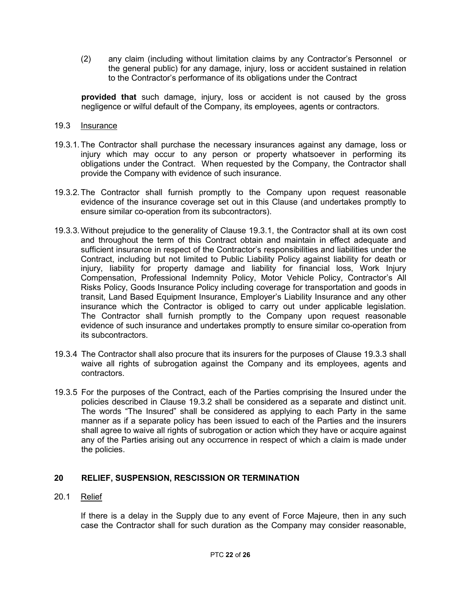(2) any claim (including without limitation claims by any Contractor's Personnel or the general public) for any damage, injury, loss or accident sustained in relation to the Contractor's performance of its obligations under the Contract

provided that such damage, injury, loss or accident is not caused by the gross negligence or wilful default of the Company, its employees, agents or contractors.

# 19.3 Insurance

- 19.3.1. The Contractor shall purchase the necessary insurances against any damage, loss or injury which may occur to any person or property whatsoever in performing its obligations under the Contract. When requested by the Company, the Contractor shall provide the Company with evidence of such insurance.
- 19.3.2. The Contractor shall furnish promptly to the Company upon request reasonable evidence of the insurance coverage set out in this Clause (and undertakes promptly to ensure similar co-operation from its subcontractors).
- 19.3.3. Without prejudice to the generality of Clause 19.3.1, the Contractor shall at its own cost and throughout the term of this Contract obtain and maintain in effect adequate and sufficient insurance in respect of the Contractor's responsibilities and liabilities under the Contract, including but not limited to Public Liability Policy against liability for death or injury, liability for property damage and liability for financial loss, Work Injury Compensation, Professional Indemnity Policy, Motor Vehicle Policy, Contractor's All Risks Policy, Goods Insurance Policy including coverage for transportation and goods in transit, Land Based Equipment Insurance, Employer's Liability Insurance and any other insurance which the Contractor is obliged to carry out under applicable legislation. The Contractor shall furnish promptly to the Company upon request reasonable evidence of such insurance and undertakes promptly to ensure similar co-operation from its subcontractors.
- 19.3.4 The Contractor shall also procure that its insurers for the purposes of Clause 19.3.3 shall waive all rights of subrogation against the Company and its employees, agents and contractors.
- 19.3.5 For the purposes of the Contract, each of the Parties comprising the Insured under the policies described in Clause 19.3.2 shall be considered as a separate and distinct unit. The words "The Insured" shall be considered as applying to each Party in the same manner as if a separate policy has been issued to each of the Parties and the insurers shall agree to waive all rights of subrogation or action which they have or acquire against any of the Parties arising out any occurrence in respect of which a claim is made under the policies.

# 20 RELIEF, SUSPENSION, RESCISSION OR TERMINATION

#### 20.1 Relief

If there is a delay in the Supply due to any event of Force Majeure, then in any such case the Contractor shall for such duration as the Company may consider reasonable,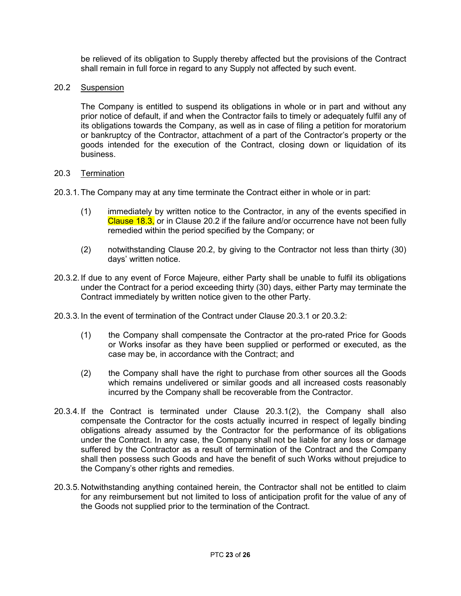be relieved of its obligation to Supply thereby affected but the provisions of the Contract shall remain in full force in regard to any Supply not affected by such event.

# 20.2 Suspension

The Company is entitled to suspend its obligations in whole or in part and without any prior notice of default, if and when the Contractor fails to timely or adequately fulfil any of its obligations towards the Company, as well as in case of filing a petition for moratorium or bankruptcy of the Contractor, attachment of a part of the Contractor's property or the goods intended for the execution of the Contract, closing down or liquidation of its business.

### 20.3 Termination

- 20.3.1. The Company may at any time terminate the Contract either in whole or in part:
	- (1) immediately by written notice to the Contractor, in any of the events specified in Clause 18.3, or in Clause 20.2 if the failure and/or occurrence have not been fully remedied within the period specified by the Company; or
	- (2) notwithstanding Clause 20.2, by giving to the Contractor not less than thirty (30) days' written notice.
- 20.3.2. If due to any event of Force Majeure, either Party shall be unable to fulfil its obligations under the Contract for a period exceeding thirty (30) days, either Party may terminate the Contract immediately by written notice given to the other Party.
- 20.3.3. In the event of termination of the Contract under Clause 20.3.1 or 20.3.2:
	- (1) the Company shall compensate the Contractor at the pro-rated Price for Goods or Works insofar as they have been supplied or performed or executed, as the case may be, in accordance with the Contract; and
	- (2) the Company shall have the right to purchase from other sources all the Goods which remains undelivered or similar goods and all increased costs reasonably incurred by the Company shall be recoverable from the Contractor.
- 20.3.4. If the Contract is terminated under Clause 20.3.1(2), the Company shall also compensate the Contractor for the costs actually incurred in respect of legally binding obligations already assumed by the Contractor for the performance of its obligations under the Contract. In any case, the Company shall not be liable for any loss or damage suffered by the Contractor as a result of termination of the Contract and the Company shall then possess such Goods and have the benefit of such Works without prejudice to the Company's other rights and remedies.
- 20.3.5. Notwithstanding anything contained herein, the Contractor shall not be entitled to claim for any reimbursement but not limited to loss of anticipation profit for the value of any of the Goods not supplied prior to the termination of the Contract.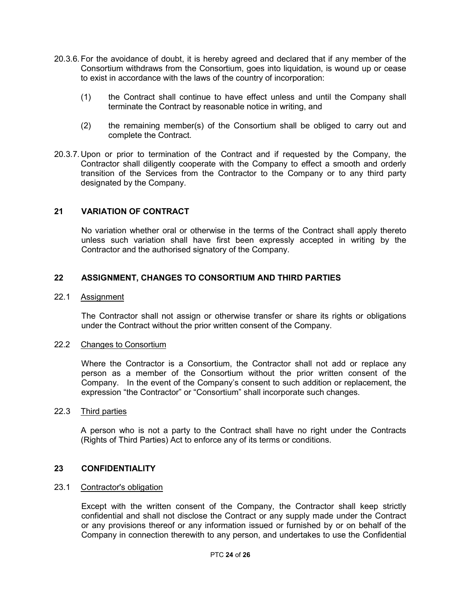- 20.3.6. For the avoidance of doubt, it is hereby agreed and declared that if any member of the Consortium withdraws from the Consortium, goes into liquidation, is wound up or cease to exist in accordance with the laws of the country of incorporation:
	- (1) the Contract shall continue to have effect unless and until the Company shall terminate the Contract by reasonable notice in writing, and
	- (2) the remaining member(s) of the Consortium shall be obliged to carry out and complete the Contract.
- 20.3.7. Upon or prior to termination of the Contract and if requested by the Company, the Contractor shall diligently cooperate with the Company to effect a smooth and orderly transition of the Services from the Contractor to the Company or to any third party designated by the Company.

# 21 VARIATION OF CONTRACT

No variation whether oral or otherwise in the terms of the Contract shall apply thereto unless such variation shall have first been expressly accepted in writing by the Contractor and the authorised signatory of the Company.

# 22 ASSIGNMENT, CHANGES TO CONSORTIUM AND THIRD PARTIES

#### 22.1 Assignment

 The Contractor shall not assign or otherwise transfer or share its rights or obligations under the Contract without the prior written consent of the Company.

#### 22.2 Changes to Consortium

Where the Contractor is a Consortium, the Contractor shall not add or replace any person as a member of the Consortium without the prior written consent of the Company. In the event of the Company's consent to such addition or replacement, the expression "the Contractor" or "Consortium" shall incorporate such changes.

### 22.3 Third parties

 A person who is not a party to the Contract shall have no right under the Contracts (Rights of Third Parties) Act to enforce any of its terms or conditions.

### 23 CONFIDENTIALITY

#### 23.1 Contractor's obligation

 Except with the written consent of the Company, the Contractor shall keep strictly confidential and shall not disclose the Contract or any supply made under the Contract or any provisions thereof or any information issued or furnished by or on behalf of the Company in connection therewith to any person, and undertakes to use the Confidential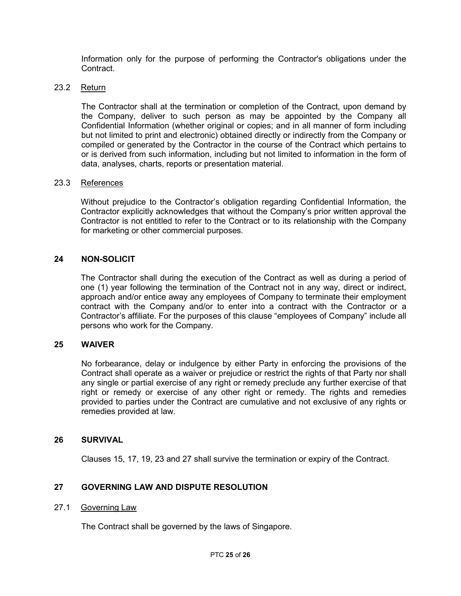Information only for the purpose of performing the Contractor's obligations under the Contract.

# 23.2 Return

 The Contractor shall at the termination or completion of the Contract, upon demand by the Company, deliver to such person as may be appointed by the Company all Confidential Information (whether original or copies; and in all manner of form including but not limited to print and electronic) obtained directly or indirectly from the Company or compiled or generated by the Contractor in the course of the Contract which pertains to or is derived from such information, including but not limited to information in the form of data, analyses, charts, reports or presentation material.

#### 23.3 References

Without prejudice to the Contractor's obligation regarding Confidential Information, the Contractor explicitly acknowledges that without the Company's prior written approval the Contractor is not entitled to refer to the Contract or to its relationship with the Company for marketing or other commercial purposes.

# 24 NON-SOLICIT

 The Contractor shall during the execution of the Contract as well as during a period of one (1) year following the termination of the Contract not in any way, direct or indirect, approach and/or entice away any employees of Company to terminate their employment contract with the Company and/or to enter into a contract with the Contractor or a Contractor's affiliate. For the purposes of this clause "employees of Company" include all persons who work for the Company.

#### 25 WAIVER

No forbearance, delay or indulgence by either Party in enforcing the provisions of the Contract shall operate as a waiver or prejudice or restrict the rights of that Party nor shall any single or partial exercise of any right or remedy preclude any further exercise of that right or remedy or exercise of any other right or remedy. The rights and remedies provided to parties under the Contract are cumulative and not exclusive of any rights or remedies provided at law.

#### 26 SURVIVAL

Clauses 15, 17, 19, 23 and 27 shall survive the termination or expiry of the Contract.

# 27 GOVERNING LAW AND DISPUTE RESOLUTION

#### 27.1 Governing Law

The Contract shall be governed by the laws of Singapore.